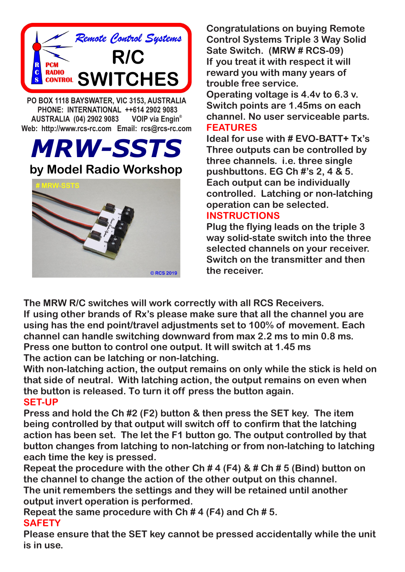

 **PHONE: INTERNATIONAL ++614 2902 9083 VOIP** via Engin<sup>®</sup> **AUSTRALIA (04) 2902 9083 Web: http://www.rcs-rc.com Email: rcs@rcs-rc.com**

*MRW-SSTS*



**Congratulations on buying Remote Control Systems Triple 3 Way Solid Sate Switch. (MRW # RCS-09) If you treat it with respect it will reward you with many years of trouble free service.**

**Operating voltage is 4.4v to 6.3 v. Switch points are 1.45ms on each channel. No user serviceable parts. FEATURES**

**Ideal for use with # EVO-BATT+ Tx's Three outputs can be controlled by three channels. i.e. three single pushbuttons. EG Ch #'s 2, 4 & 5. Each output can be individually controlled. Latching or non-latching operation can be selected.**

## **INSTRUCTIONS**

**Plug the flying leads on the triple 3 way solid-state switch into the three selected channels on your receiver. Switch on the transmitter and then the receiver.**

**The MRW R/C switches will work correctly with all RCS Receivers. If using other brands of Rx's please make sure that all the channel you are using has the end point/travel adjustments set to 100% of movement. Each channel can handle switching downward from max 2.2 ms to min 0.8 ms. Press one button to control one output. It will switch at 1.45 ms The action can be latching or non-latching.**

**With non-latching action, the output remains on only while the stick is held on that side of neutral. With latching action, the output remains on even when the button is released. To turn it off press the button again. SET-UP**

**Press and hold the Ch #2 (F2) button & then press the SET key. The item being controlled by that output will switch off to confirm that the latching action has been set. The let the F1 button go. The output controlled by that button changes from latching to non-latching or from non-latching to latching each time the key is pressed.**

**Repeat the procedure with the other Ch # 4 (F4) & # Ch # 5 (Bind) button on the channel to change the action of the other output on this channel. The unit remembers the settings and they will be retained until another output invert operation is performed.**

**Repeat the same procedure with Ch # 4 (F4) and Ch # 5. SAFETY**

**Please ensure that the SET key cannot be pressed accidentally while the unit is in use.**